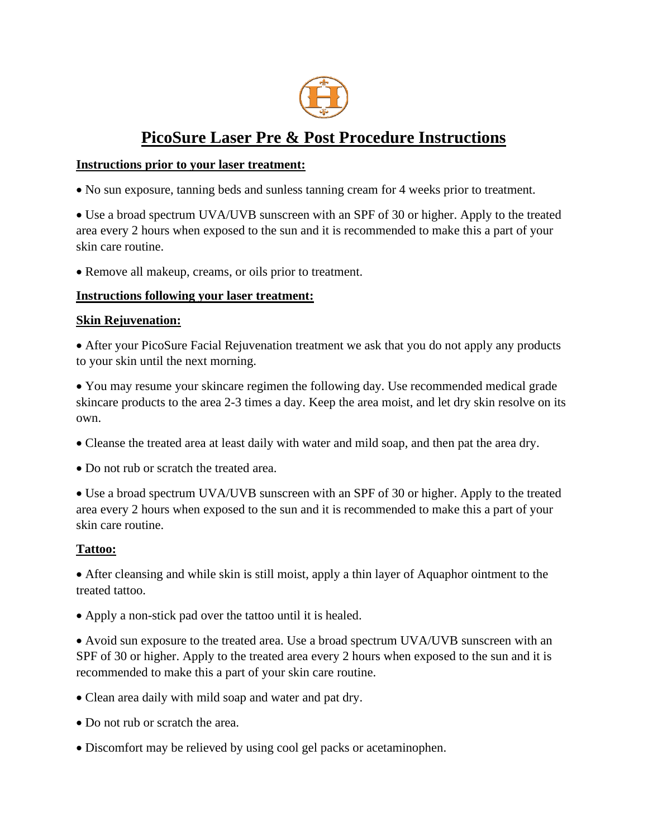

# **PicoSure Laser Pre & Post Procedure Instructions**

#### **Instructions prior to your laser treatment:**

• No sun exposure, tanning beds and sunless tanning cream for 4 weeks prior to treatment.

• Use a broad spectrum UVA/UVB sunscreen with an SPF of 30 or higher. Apply to the treated area every 2 hours when exposed to the sun and it is recommended to make this a part of your skin care routine.

• Remove all makeup, creams, or oils prior to treatment.

### **Instructions following your laser treatment:**

### **Skin Rejuvenation:**

• After your PicoSure Facial Rejuvenation treatment we ask that you do not apply any products to your skin until the next morning.

• You may resume your skincare regimen the following day. Use recommended medical grade skincare products to the area 2-3 times a day. Keep the area moist, and let dry skin resolve on its own.

- Cleanse the treated area at least daily with water and mild soap, and then pat the area dry.
- Do not rub or scratch the treated area.

• Use a broad spectrum UVA/UVB sunscreen with an SPF of 30 or higher. Apply to the treated area every 2 hours when exposed to the sun and it is recommended to make this a part of your skin care routine.

## **Tattoo:**

• After cleansing and while skin is still moist, apply a thin layer of Aquaphor ointment to the treated tattoo.

• Apply a non-stick pad over the tattoo until it is healed.

• Avoid sun exposure to the treated area. Use a broad spectrum UVA/UVB sunscreen with an SPF of 30 or higher. Apply to the treated area every 2 hours when exposed to the sun and it is recommended to make this a part of your skin care routine.

- Clean area daily with mild soap and water and pat dry.
- Do not rub or scratch the area.
- Discomfort may be relieved by using cool gel packs or acetaminophen.